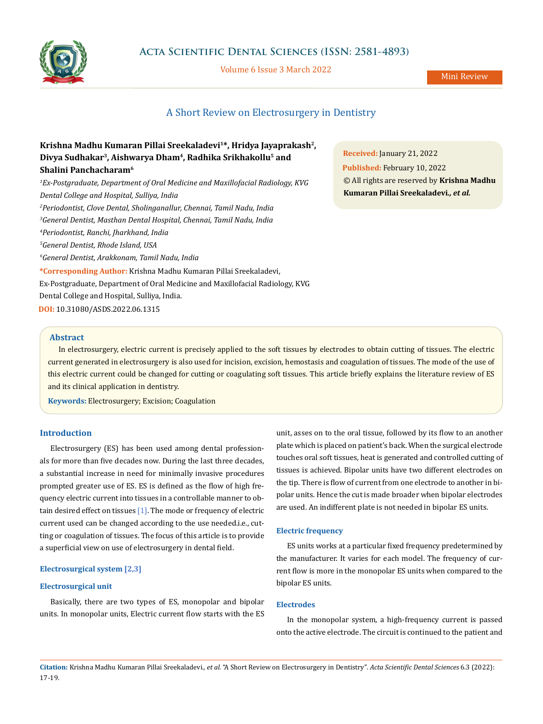

Volume 6 Issue 3 March 2022

# A Short Review on Electrosurgery in Dentistry

| Krishna Madhu Kumaran Pillai Sreekaladevi <sup>1*</sup> , Hridya Jayaprakash <sup>2</sup> ,      |  |
|--------------------------------------------------------------------------------------------------|--|
| Divya Sudhakar <sup>3</sup> , Aishwarya Dham <sup>4</sup> , Radhika Srikhakollu <sup>5</sup> and |  |
| Shalini Panchacharam <sup>6</sup>                                                                |  |
| <sup>1</sup> Ex-Postgraduate, Department of Oral Medicine and Maxillofacial Radiology, KVG       |  |
| Dental College and Hospital, Sulliya, India                                                      |  |
| <sup>2</sup> Periodontist, Clove Dental, Sholinganallur, Chennai, Tamil Nadu, India              |  |
| <sup>3</sup> General Dentist, Masthan Dental Hospital, Chennai, Tamil Nadu, India                |  |
| <sup>4</sup> Periodontist, Ranchi, Jharkhand, India                                              |  |
| <sup>5</sup> General Dentist, Rhode Island, USA                                                  |  |
| <sup>6</sup> General Dentist, Arakkonam, Tamil Nadu, India                                       |  |
| *Corresponding Author: Krishna Madhu Kumaran Pillai Sreekaladevi,                                |  |
| Ex-Postgraduate, Department of Oral Medicine and Maxillofacial Radiology, KVG                    |  |
| Dental College and Hospital, Sulliya, India.                                                     |  |
| DOI: 10.31080/ASDS.2022.06.1315                                                                  |  |
|                                                                                                  |  |

**Received:** January 21, 2022 **Published:** February 10, 2022 © All rights are reserved by **Krishna Madhu Kumaran Pillai Sreekaladevi***., et al.* 

### **Abstract**

In electrosurgery, electric current is precisely applied to the soft tissues by electrodes to obtain cutting of tissues. The electric current generated in electrosurgery is also used for incision, excision, hemostasis and coagulation of tissues. The mode of the use of this electric current could be changed for cutting or coagulating soft tissues. This article briefly explains the literature review of ES and its clinical application in dentistry.

**Keywords:** Electrosurgery; Excision; Coagulation

# **Introduction**

Electrosurgery (ES) has been used among dental professionals for more than five decades now. During the last three decades, a substantial increase in need for minimally invasive procedures prompted greater use of ES. ES is defined as the flow of high frequency electric current into tissues in a controllable manner to obtain desired effect on tissues  $[1]$ . The mode or frequency of electric current used can be changed according to the use needed.i.e., cutting or coagulation of tissues. The focus of this article is to provide a superficial view on use of electrosurgery in dental field.

## **Electrosurgical system [2,3]**

#### **Electrosurgical unit**

Basically, there are two types of ES, monopolar and bipolar units. In monopolar units, Electric current flow starts with the ES unit, asses on to the oral tissue, followed by its flow to an another plate which is placed on patient's back. When the surgical electrode touches oral soft tissues, heat is generated and controlled cutting of tissues is achieved. Bipolar units have two different electrodes on the tip. There is flow of current from one electrode to another in bipolar units. Hence the cut is made broader when bipolar electrodes are used. An indifferent plate is not needed in bipolar ES units.

#### **Electric frequency**

ES units works at a particular fixed frequency predetermined by the manufacturer. It varies for each model. The frequency of current flow is more in the monopolar ES units when compared to the bipolar ES units.

### **Electrodes**

In the monopolar system, a high-frequency current is passed onto the active electrode. The circuit is continued to the patient and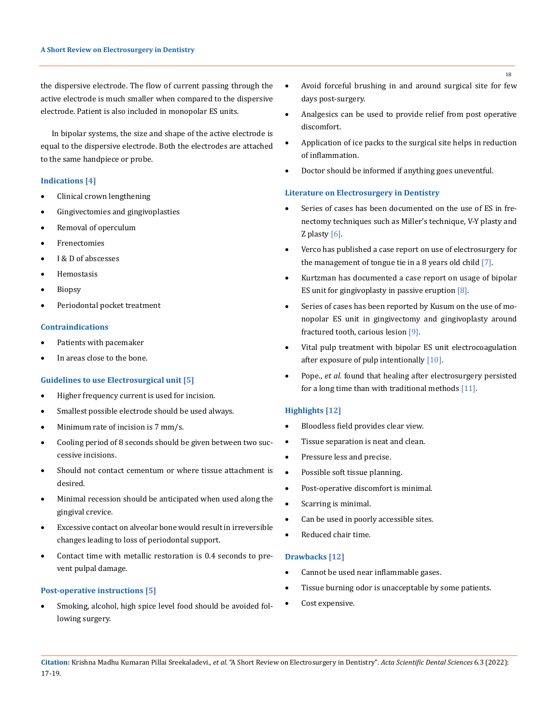the dispersive electrode. The flow of current passing through the active electrode is much smaller when compared to the dispersive electrode. Patient is also included in monopolar ES units.

In bipolar systems, the size and shape of the active electrode is equal to the dispersive electrode. Both the electrodes are attached to the same handpiece or probe.

### **Indications [4]**

- Clinical crown lengthening
- Gingivectomies and gingivoplasties
- • Removal of operculum
- **Frenectomies**
- I & D of abscesses
- • Hemostasis
- **Biopsy**
- • Periodontal pocket treatment

#### **Contraindications**

- Patients with pacemaker
- In areas close to the bone.

### **Guidelines to use Electrosurgical unit [5]**

- Higher frequency current is used for incision.
- Smallest possible electrode should be used always.
- Minimum rate of incision is 7 mm/s.
- Cooling period of 8 seconds should be given between two successive incisions.
- Should not contact cementum or where tissue attachment is desired.
- Minimal recession should be anticipated when used along the gingival crevice.
- • Excessive contact on alveolar bone would result in irreversible changes leading to loss of periodontal support.
- • Contact time with metallic restoration is 0.4 seconds to prevent pulpal damage.

#### **Post-operative instructions [5]**

Smoking, alcohol, high spice level food should be avoided following surgery.

- • Avoid forceful brushing in and around surgical site for few days post-surgery.
- • Analgesics can be used to provide relief from post operative discomfort.
- Application of ice packs to the surgical site helps in reduction of inflammation.
- Doctor should be informed if anything goes uneventful.

### **Literature on Electrosurgery in Dentistry**

- Series of cases has been documented on the use of ES in frenectomy techniques such as Miller's technique, V-Y plasty and Z plasty  $[6]$ .
- Verco has published a case report on use of electrosurgery for the management of tongue tie in a 8 years old child [7].
- Kurtzman has documented a case report on usage of bipolar ES unit for gingivoplasty in passive eruption  $[8]$ .
- Series of cases has been reported by Kusum on the use of monopolar ES unit in gingivectomy and gingivoplasty around fractured tooth, carious lesion [9].
- Vital pulp treatment with bipolar ES unit electrocoagulation after exposure of pulp intentionally [10].
- Pope., *et al.* found that healing after electrosurgery persisted for a long time than with traditional methods  $[11]$ .

#### **Highlights [12]**

- Bloodless field provides clear view.
- • Tissue separation is neat and clean.
- • Pressure less and precise.
- • Possible soft tissue planning.
- • Post-operative discomfort is minimal.
- Scarring is minimal.
- Can be used in poorly accessible sites.
- Reduced chair time.

## **Drawbacks [12]**

- Cannot be used near inflammable gases.
- • Tissue burning odor is unacceptable by some patients.
- Cost expensive.

18